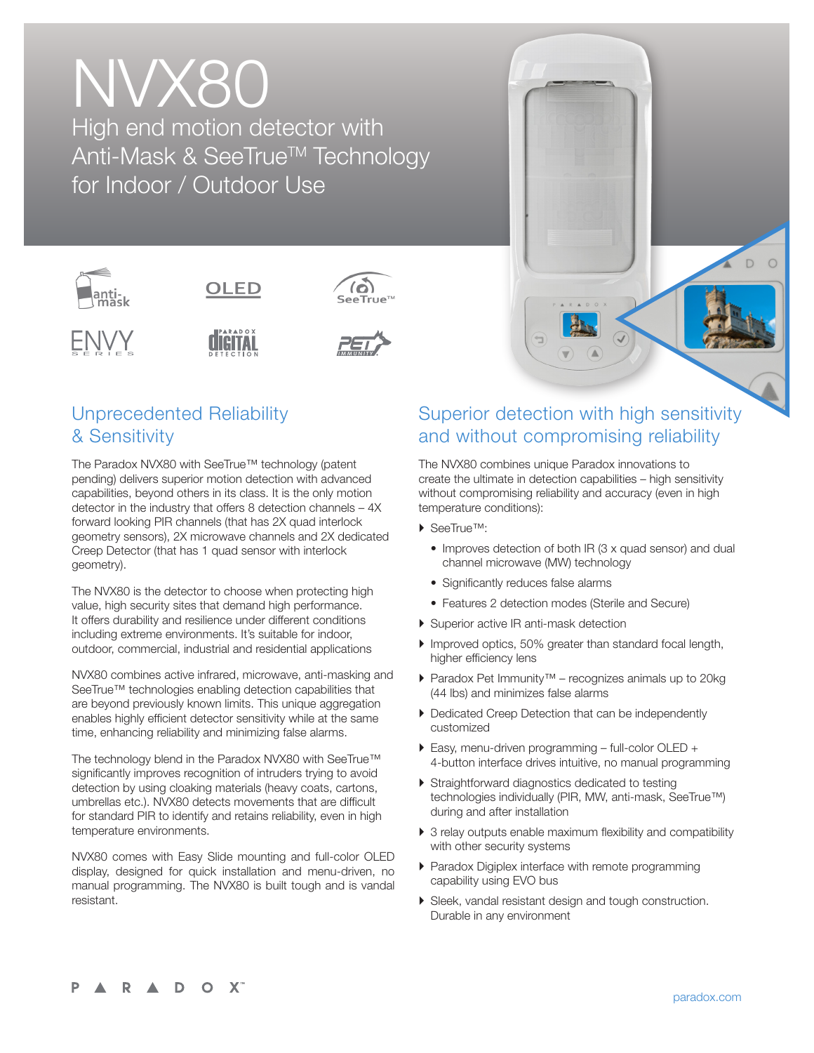# NVX80 High end motion detector with Anti-Mask & SeeTrue<sup>™</sup> Technology for Indoor / Outdoor Use



## Unprecedented Reliability & Sensitivity

The Paradox NVX80 with SeeTrue™ technology (patent pending) delivers superior motion detection with advanced capabilities, beyond others in its class. It is the only motion detector in the industry that offers 8 detection channels – 4X forward looking PIR channels (that has 2X quad interlock geometry sensors), 2X microwave channels and 2X dedicated Creep Detector (that has 1 quad sensor with interlock geometry).

The NVX80 is the detector to choose when protecting high value, high security sites that demand high performance. It offers durability and resilience under different conditions including extreme environments. It's suitable for indoor, outdoor, commercial, industrial and residential applications

NVX80 combines active infrared, microwave, anti-masking and SeeTrue™ technologies enabling detection capabilities that are beyond previously known limits. This unique aggregation enables highly efficient detector sensitivity while at the same time, enhancing reliability and minimizing false alarms.

The technology blend in the Paradox NVX80 with SeeTrue™ significantly improves recognition of intruders trying to avoid detection by using cloaking materials (heavy coats, cartons, umbrellas etc.). NVX80 detects movements that are difficult for standard PIR to identify and retains reliability, even in high temperature environments.

NVX80 comes with Easy Slide mounting and full-color OLED display, designed for quick installation and menu-driven, no manual programming. The NVX80 is built tough and is vandal resistant.

### Superior detection with high sensitivity and without compromising reliability

The NVX80 combines unique Paradox innovations to create the ultimate in detection capabilities – high sensitivity without compromising reliability and accuracy (even in high temperature conditions):

- ▶ SeeTrue™:
	- Improves detection of both IR (3 x quad sensor) and dual channel microwave (MW) technology
	- Significantly reduces false alarms
	- Features 2 detection modes (Sterile and Secure)
- ▶ Superior active IR anti-mask detection
- } Improved optics, 50% greater than standard focal length, higher efficiency lens
- } Paradox Pet Immunity™ recognizes animals up to 20kg (44 lbs) and minimizes false alarms
- } Dedicated Creep Detection that can be independently customized
- ▶ Easy, menu-driven programming full-color OLED + 4-button interface drives intuitive, no manual programming
- ▶ Straightforward diagnostics dedicated to testing technologies individually (PIR, MW, anti-mask, SeeTrue™) during and after installation
- $\triangleright$  3 relay outputs enable maximum flexibility and compatibility with other security systems
- ▶ Paradox Digiplex interface with remote programming capability using EVO bus
- } Sleek, vandal resistant design and tough construction. Durable in any environment

D  $\circ$